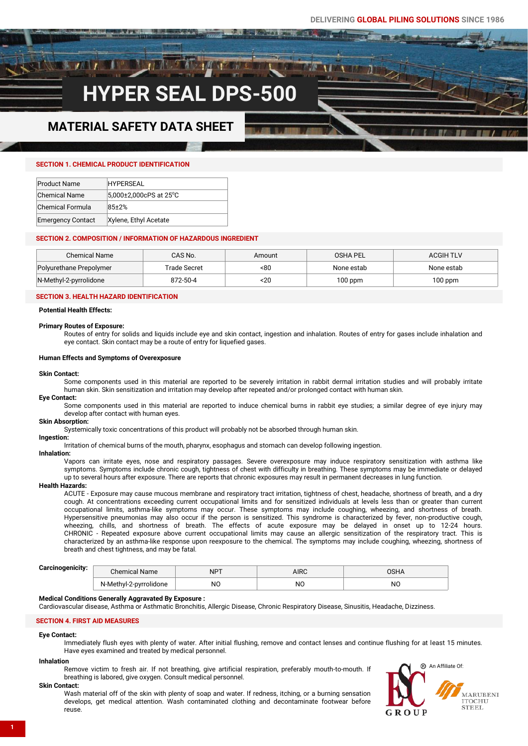# **HYPER SEAL DPS-50**

# **MATERIAL SAFETY DATA SHEET**

#### **SECTION 1. CHEMICAL PRODUCT IDENTIFICATION**

| <b>Product Name</b>      | <b>HYPFRSFAL</b>       |
|--------------------------|------------------------|
| <b>Chemical Name</b>     | 5.000±2.000cPS at 25°C |
| Chemical Formula         | $85+2%$                |
|                          |                        |
| <b>Emergency Contact</b> | Xylene, Ethyl Acetate  |

#### **SECTION 2. COMPOSITION / INFORMATION OF HAZARDOUS INGREDIENT**

| <b>Chemical Name</b>    | CAS No.      | Amount | OSHA PEL   | <b>ACGIH TLV</b> |
|-------------------------|--------------|--------|------------|------------------|
| Polyurethane Prepolymer | Trade Secret | -80    | None estab | None estab       |
| N-Methyl-2-pyrrolidone  | 872-50-4     | 20ء    | $100$ ppm  | $100$ ppm        |

#### **SECTION 3. HEALTH HAZARD IDENTIFICATION**

**Potential Health Effects:**

#### **Primary Routes of Exposure:**

Routes of entry for solids and liquids include eye and skin contact, ingestion and inhalation. Routes of entry for gases include inhalation and eye contact. Skin contact may be a route of entry for liquefied gases.

#### **Human Effects and Symptoms of Overexposure**

**Skin Contact:** 

Some components used in this material are reported to be severely irritation in rabbit dermal irritation studies and will probably irritate human skin. Skin sensitization and irritation may develop after repeated and/or prolonged contact with human skin.

#### **Eye Contact:**

Some components used in this material are reported to induce chemical burns in rabbit eve studies; a similar degree of eve injury may develop after contact with human eyes.

#### **Skin Absorption:**

Systemically toxic concentrations of this product will probably not be absorbed through human skin.

#### **Ingestion:**

Irritation of chemical burns of the mouth, pharynx, esophagus and stomach can develop following ingestion.

#### **Inhalation:**

Vapors can irritate eyes, nose and respiratory passages. Severe overexposure may induce respiratory sensitization with asthma like symptoms. Symptoms include chronic cough, tightness of chest with difficulty in breathing. These symptoms may be immediate or delayed up to several hours after exposure. There are reports that chronic exposures may result in permanent decreases in lung function.

#### **Health Hazards:**

ACUTE - Exposure may cause mucous membrane and respiratory tract irritation, tightness of chest, headache, shortness of breath, and a dry cough. At concentrations exceeding current occupational limits and for sensitized individuals at levels less than or greater than current occupational limits, asthma-like symptoms may occur. These symptoms may include coughing, wheezing, and shortness of breath. Hypersensitive pneumonias may also occur if the person is sensitized. This syndrome is characterized by fever, non-productive cough, wheezing, chills, and shortness of breath. The effects of acute exposure may be delayed in onset up to 12-24 hours. CHRONIC - Repeated exposure above current occupational limits may cause an allergic sensitization of the respiratory tract. This is characterized by an asthma-like response upon reexposure to the chemical. The symptoms may include coughing, wheezing, shortness of breath and chest tightness, and may be fatal.

## **Carcinogenicity:**

| Garcinogenicity. | :hemical Name          | $NP-$<br>. | AIRC |     |
|------------------|------------------------|------------|------|-----|
|                  | N-Methyl-2-pyrrolidone | NC         | NC.  | NC. |

#### **Medical Conditions Generally Aggravated By Exposure :**

Cardiovascular disease, Asthma or Asthmatic Bronchitis, Allergic Disease, Chronic Respiratory Disease, Sinusitis, Headache, Dizziness.

#### **SECTION 4. FIRST AID MEASURES**

#### **Eye Contact:**

Immediately flush eyes with plenty of water. After initial flushing, remove and contact lenses and continue flushing for at least 15 minutes. Have eyes examined and treated by medical personnel.

#### **Inhalation**

Remove victim to fresh air. If not breathing, give artificial respiration, preferably mouth-to-mouth. If breathing is labored, give oxygen. Consult medical personnel.

#### **Skin Contact:**

Wash material off of the skin with plenty of soap and water. If redness, itching, or a burning sensation develops, get medical attention. Wash contaminated clothing and decontaminate footwear before reuse.

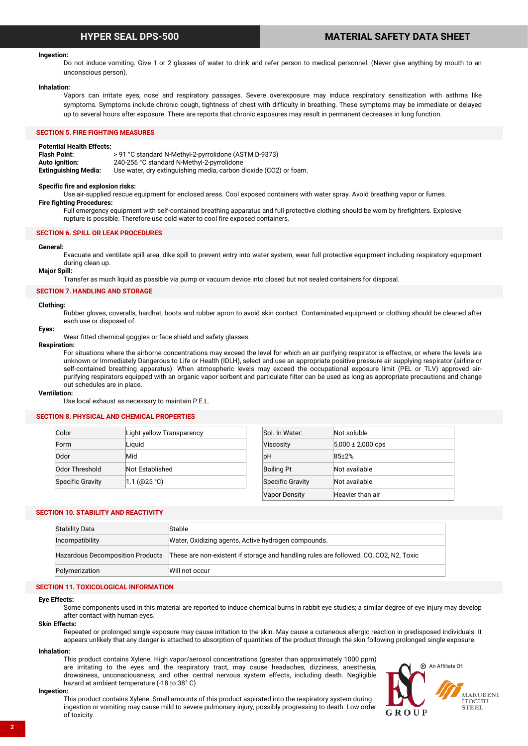## **HYPER SEAL DPS-500 MATERIAL SAFETY DATA SHEET**

#### **Ingestion:**

Do not induce vomiting. Give 1 or 2 glasses of water to drink and refer person to medical personnel. (Never give anything by mouth to an unconscious person).

#### **Inhalation:**

Vapors can irritate eyes, nose and respiratory passages. Severe overexposure may induce respiratory sensitization with asthma like symptoms. Symptoms include chronic cough, tightness of chest with difficulty in breathing. These symptoms may be immediate or delayed up to several hours after exposure. There are reports that chronic exposures may result in permanent decreases in lung function.

### **SECTION 5. FIRE FIGHTING MEASURES**

**Potential Health Effects: Flash Point:** > 91 °C standard N-Methyl-2-pyrrolidone (ASTM D-9373) **Auto ignition:** 240-256 °C standard N-Methyl-2-pyrrolidone **Extinguishing Media:** Use water, dry extinguishing media, carbon dioxide (CO2) or foam.

#### **Specific fire and explosion risks:**

Use air-supplied rescue equipment for enclosed areas. Cool exposed containers with water spray. Avoid breathing vapor or fumes.

#### **Fire fighting Procedures:**

Full emergency equipment with self-contained breathing apparatus and full protective clothing should be worn by firefighters. Explosive rupture is possible. Therefore use cold water to cool fire exposed containers.

#### **SECTION 6. SPILL OR LEAK PROCEDURES**

#### **General:**

Evacuate and ventilate spill area, dike spill to prevent entry into water system, wear full protective equipment including respiratory equipment during clean up.

### **Major Spill:**

Transfer as much liquid as possible via pump or vacuum device into closed but not sealed containers for disposal.

#### **SECTION 7. HANDLING AND STORAGE**

#### **Clothing:**

Rubber gloves, coveralls, hardhat, boots and rubber apron to avoid skin contact. Contaminated equipment or clothing should be cleaned after each use or disposed of.

#### **Eyes:**

Wear fitted chemical goggles or face shield and safety glasses.

#### **Respiration:**

For situations where the airborne concentrations may exceed the level for which an air purifying respirator is effective, or where the levels are unknown or Immediately Dangerous to Life or Health (IDLH), select and use an appropriate positive pressure air supplying respirator (airline or self-contained breathing apparatus). When atmospheric levels may exceed the occupational exposure limit (PEL or TLV) approved airpurifying respirators equipped with an organic vapor sorbent and particulate filter can be used as long as appropriate precautions and change out schedules are in place.

#### **Ventilation:**

Use local exhaust as necessary to maintain P.E.L.

#### **SECTION 8. PHYSICAL AND CHEMICAL PROPERTIES**

| Color                   | Light yellow Transparency | Sol. In Water:       | Not soluble           |
|-------------------------|---------------------------|----------------------|-----------------------|
| Form                    | Liguid                    | <b>Viscosity</b>     | $5,000 \pm 2,000$ cps |
| Odor                    | Mid                       | bH                   | $85+2%$               |
| Odor Threshold          | Not Established           | <b>Boiling Pt</b>    | Not available         |
| <b>Specific Gravity</b> | 1.1 (@25 °C)              | Specific Gravity     | Not available         |
|                         |                           | <b>Vapor Density</b> | Heavier than air      |

#### **SECTION 10. STABILITY AND REACTIVITY**

| <b>Stability Data</b>                   | Stable                                                                                |
|-----------------------------------------|---------------------------------------------------------------------------------------|
| Incompatibility                         | Water, Oxidizing agents, Active hydrogen compounds.                                   |
| <b>Hazardous Decomposition Products</b> | These are non-existent if storage and handling rules are followed. CO, CO2, N2, Toxic |
| Polymerization                          | Will not occur                                                                        |

#### **SECTION 11. TOXICOLOGICAL INFORMATION**

#### **Eye Effects:**

Some components used in this material are reported to induce chemical burns in rabbit eye studies; a similar degree of eye injury may develop after contact with human eyes.

#### **Skin Effects:**

Repeated or prolonged single exposure may cause irritation to the skin. May cause a cutaneous allergic reaction in predisposed individuals. It appears unlikely that any danger is attached to absorption of quantities of the product through the skin following prolonged single exposure.

#### **Inhalation:**

This product contains Xylene. High vapor/aerosol concentrations (greater than approximately 1000 ppm) are irritating to the eyes and the respiratory tract, may cause headaches, dizziness, anesthesia, drowsiness, unconsciousness, and other central nervous system effects, including death. Negligible hazard at ambient temperature (-18 to 38° C)



#### **Ingestion:**

This product contains Xylene. Small amounts of this product aspirated into the respiratory system during ingestion or vomiting may cause mild to severe pulmonary injury, possibly progressing to death. Low order of toxicity.